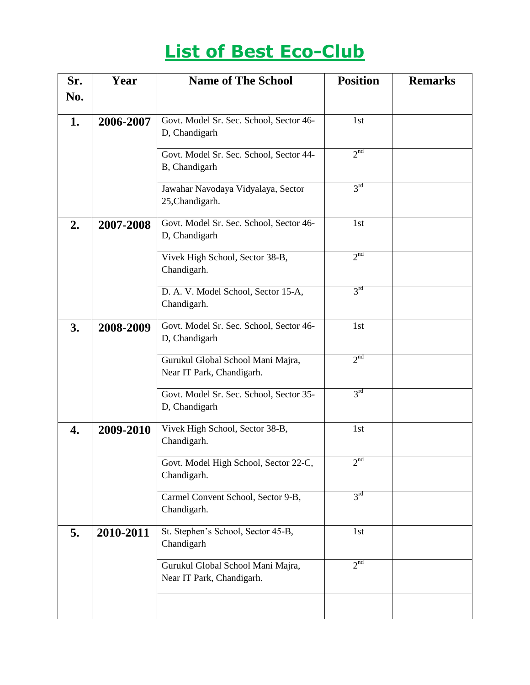# **List of Best Eco-Club**

| Sr. | Year      | <b>Name of The School</b>                                      | <b>Position</b>            | <b>Remarks</b> |
|-----|-----------|----------------------------------------------------------------|----------------------------|----------------|
| No. |           |                                                                |                            |                |
| 1.  | 2006-2007 | Govt. Model Sr. Sec. School, Sector 46-<br>D, Chandigarh       | 1st                        |                |
|     |           | Govt. Model Sr. Sec. School, Sector 44-<br>B, Chandigarh       | 2 <sup>nd</sup>            |                |
|     |           | Jawahar Navodaya Vidyalaya, Sector<br>25, Chandigarh.          | 3 <sup>rd</sup>            |                |
| 2.  | 2007-2008 | Govt. Model Sr. Sec. School, Sector 46-<br>D, Chandigarh       | 1st                        |                |
|     |           | Vivek High School, Sector 38-B,<br>Chandigarh.                 | 2 <sup>nd</sup>            |                |
|     |           | D. A. V. Model School, Sector 15-A,<br>Chandigarh.             | 3 <sup>rd</sup>            |                |
| 3.  | 2008-2009 | Govt. Model Sr. Sec. School, Sector 46-<br>D, Chandigarh       | 1st                        |                |
|     |           | Gurukul Global School Mani Majra,<br>Near IT Park, Chandigarh. | 2 <sup>nd</sup>            |                |
|     |           | Govt. Model Sr. Sec. School, Sector 35-<br>D, Chandigarh       | 3 <sup>rd</sup>            |                |
| 4.  | 2009-2010 | Vivek High School, Sector 38-B,<br>Chandigarh.                 | 1st                        |                |
|     |           | Govt. Model High School, Sector 22-C,<br>Chandigarh.           | $2^{\overline{\text{nd}}}$ |                |
|     |           | Carmel Convent School, Sector 9-B,<br>Chandigarh.              | 3 <sup>rd</sup>            |                |
| 5.  | 2010-2011 | St. Stephen's School, Sector 45-B,<br>Chandigarh               | 1st                        |                |
|     |           | Gurukul Global School Mani Majra,<br>Near IT Park, Chandigarh. | 2 <sup>nd</sup>            |                |
|     |           |                                                                |                            |                |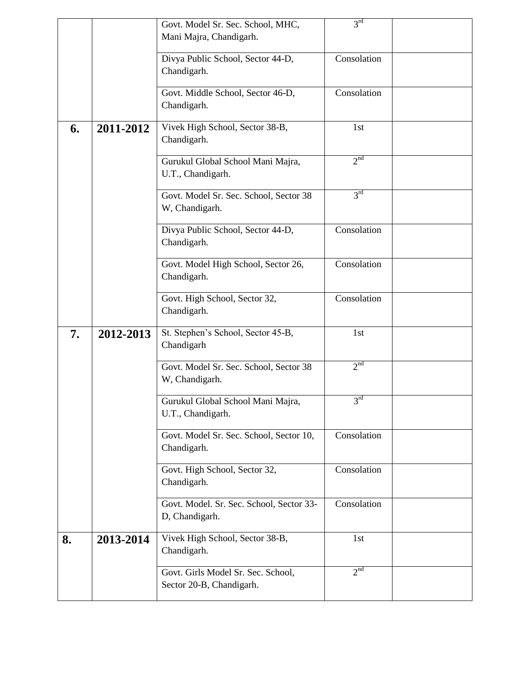|    |           | Govt. Model Sr. Sec. School, MHC,                              | 3 <sup>rd</sup> |  |
|----|-----------|----------------------------------------------------------------|-----------------|--|
|    |           | Mani Majra, Chandigarh.                                        |                 |  |
|    |           | Divya Public School, Sector 44-D,                              | Consolation     |  |
|    |           | Chandigarh.                                                    |                 |  |
|    |           | Govt. Middle School, Sector 46-D,                              | Consolation     |  |
|    |           | Chandigarh.                                                    |                 |  |
| 6. | 2011-2012 | Vivek High School, Sector 38-B,<br>Chandigarh.                 | 1st             |  |
|    |           | Gurukul Global School Mani Majra,<br>U.T., Chandigarh.         | 2 <sup>nd</sup> |  |
|    |           | Govt. Model Sr. Sec. School, Sector 38<br>W, Chandigarh.       | 3 <sup>rd</sup> |  |
|    |           | Divya Public School, Sector 44-D,<br>Chandigarh.               | Consolation     |  |
|    |           | Govt. Model High School, Sector 26,<br>Chandigarh.             | Consolation     |  |
|    |           | Govt. High School, Sector 32,<br>Chandigarh.                   | Consolation     |  |
| 7. | 2012-2013 | St. Stephen's School, Sector 45-B,<br>Chandigarh               | 1st             |  |
|    |           | Govt. Model Sr. Sec. School, Sector 38<br>W, Chandigarh.       | 2 <sup>nd</sup> |  |
|    |           | Gurukul Global School Mani Majra,<br>U.T., Chandigarh.         | 3 <sup>rd</sup> |  |
|    |           | Govt. Model Sr. Sec. School, Sector 10,<br>Chandigarh.         | Consolation     |  |
|    |           | Govt. High School, Sector 32,<br>Chandigarh.                   | Consolation     |  |
|    |           | Govt. Model. Sr. Sec. School, Sector 33-<br>D, Chandigarh.     | Consolation     |  |
| 8. | 2013-2014 | Vivek High School, Sector 38-B,<br>Chandigarh.                 | 1st             |  |
|    |           | Govt. Girls Model Sr. Sec. School,<br>Sector 20-B, Chandigarh. | 2 <sup>nd</sup> |  |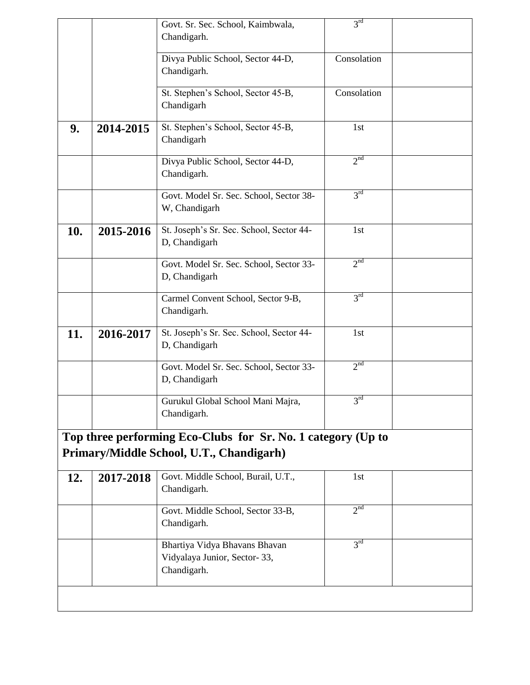|     |           | Govt. Sr. Sec. School, Kaimbwala,                                            | 3 <sup>rd</sup> |  |
|-----|-----------|------------------------------------------------------------------------------|-----------------|--|
|     |           | Chandigarh.                                                                  |                 |  |
|     |           | Divya Public School, Sector 44-D,                                            | Consolation     |  |
|     |           | Chandigarh.                                                                  |                 |  |
|     |           | St. Stephen's School, Sector 45-B,                                           | Consolation     |  |
|     |           | Chandigarh                                                                   |                 |  |
| 9.  | 2014-2015 | St. Stephen's School, Sector 45-B,<br>Chandigarh                             | 1st             |  |
|     |           | Divya Public School, Sector 44-D,                                            | 2 <sup>nd</sup> |  |
|     |           | Chandigarh.                                                                  |                 |  |
|     |           | Govt. Model Sr. Sec. School, Sector 38-<br>W, Chandigarh                     | 3 <sup>rd</sup> |  |
| 10. | 2015-2016 | St. Joseph's Sr. Sec. School, Sector 44-<br>D, Chandigarh                    | 1st             |  |
|     |           | Govt. Model Sr. Sec. School, Sector 33-<br>D, Chandigarh                     | 2 <sup>nd</sup> |  |
|     |           | Carmel Convent School, Sector 9-B,<br>Chandigarh.                            | 3 <sup>rd</sup> |  |
| 11. | 2016-2017 | St. Joseph's Sr. Sec. School, Sector 44-<br>D, Chandigarh                    | 1st             |  |
|     |           | Govt. Model Sr. Sec. School, Sector 33-<br>D, Chandigarh                     | 2 <sup>nd</sup> |  |
|     |           | Gurukul Global School Mani Majra,<br>Chandigarh.                             | 3 <sup>rd</sup> |  |
|     |           | Top three performing Eco-Clubs for Sr. No. 1 category (Up to                 |                 |  |
|     |           | Primary/Middle School, U.T., Chandigarh)                                     |                 |  |
| 12. | 2017-2018 | Govt. Middle School, Burail, U.T.,<br>Chandigarh.                            | 1st             |  |
|     |           | Govt. Middle School, Sector 33-B,<br>Chandigarh.                             | 2 <sup>nd</sup> |  |
|     |           | Bhartiya Vidya Bhavans Bhavan<br>Vidyalaya Junior, Sector-33,<br>Chandigarh. | 3 <sup>rd</sup> |  |
|     |           |                                                                              |                 |  |